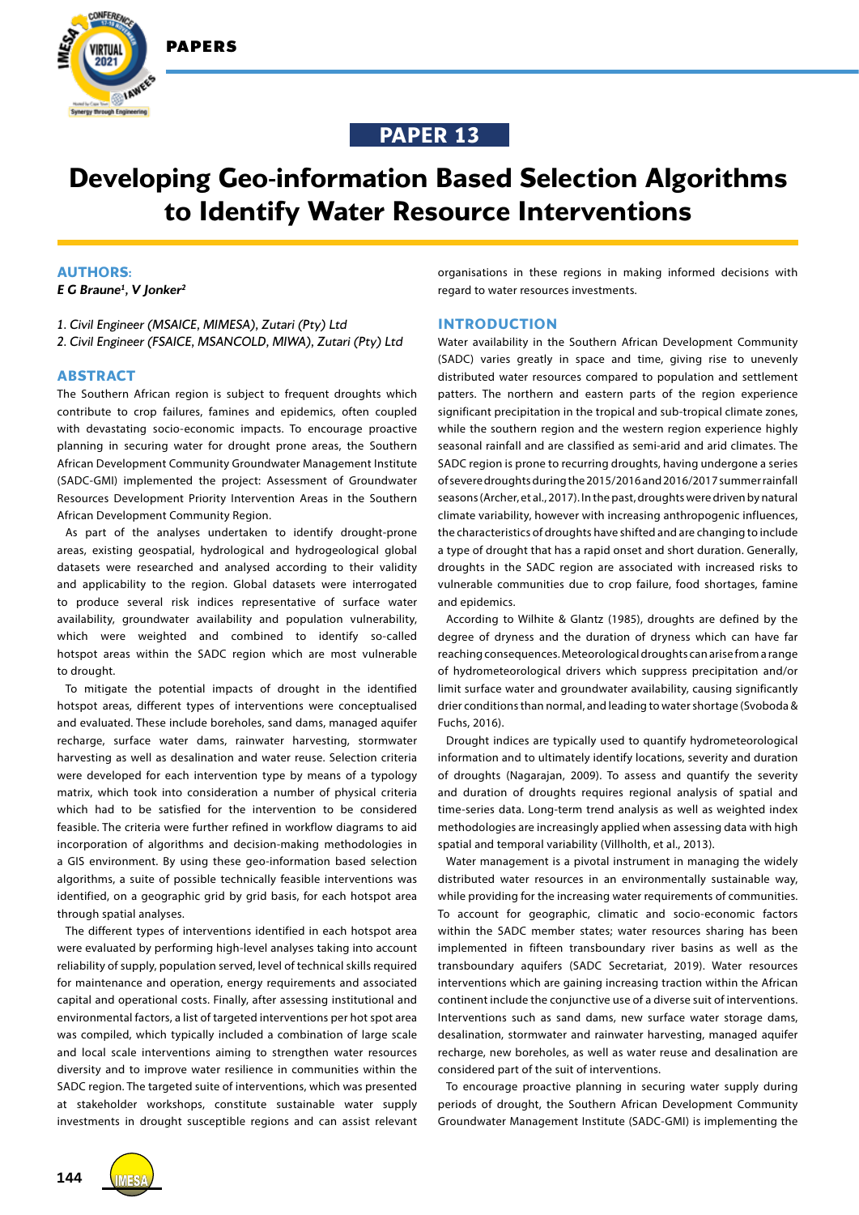



# **Developing Geo-information Based Selection Algorithms to Identify Water Resource Interventions**

# **AUTHORS:**

 $202 -$ 

IAWEE

*E G Braune1 , V Jonker2*

*1. Civil Engineer (MSAICE, MIMESA), Zutari (Pty) Ltd 2. Civil Engineer (FSAICE, MSANCOLD, MIWA), Zutari (Pty) Ltd*

# **ABSTRACT**

The Southern African region is subject to frequent droughts which contribute to crop failures, famines and epidemics, often coupled with devastating socio-economic impacts. To encourage proactive planning in securing water for drought prone areas, the Southern African Development Community Groundwater Management Institute (SADC-GMI) implemented the project: Assessment of Groundwater Resources Development Priority Intervention Areas in the Southern African Development Community Region.

As part of the analyses undertaken to identify drought-prone areas, existing geospatial, hydrological and hydrogeological global datasets were researched and analysed according to their validity and applicability to the region. Global datasets were interrogated to produce several risk indices representative of surface water availability, groundwater availability and population vulnerability, which were weighted and combined to identify so-called hotspot areas within the SADC region which are most vulnerable to drought.

To mitigate the potential impacts of drought in the identified hotspot areas, different types of interventions were conceptualised and evaluated. These include boreholes, sand dams, managed aquifer recharge, surface water dams, rainwater harvesting, stormwater harvesting as well as desalination and water reuse. Selection criteria were developed for each intervention type by means of a typology matrix, which took into consideration a number of physical criteria which had to be satisfied for the intervention to be considered feasible. The criteria were further refined in workflow diagrams to aid incorporation of algorithms and decision-making methodologies in a GIS environment. By using these geo-information based selection algorithms, a suite of possible technically feasible interventions was identified, on a geographic grid by grid basis, for each hotspot area through spatial analyses.

The different types of interventions identified in each hotspot area were evaluated by performing high-level analyses taking into account reliability of supply, population served, level of technical skills required for maintenance and operation, energy requirements and associated capital and operational costs. Finally, after assessing institutional and environmental factors, a list of targeted interventions per hot spot area was compiled, which typically included a combination of large scale and local scale interventions aiming to strengthen water resources diversity and to improve water resilience in communities within the SADC region. The targeted suite of interventions, which was presented at stakeholder workshops, constitute sustainable water supply investments in drought susceptible regions and can assist relevant

organisations in these regions in making informed decisions with regard to water resources investments.

# **INTRODUCTION**

Water availability in the Southern African Development Community (SADC) varies greatly in space and time, giving rise to unevenly distributed water resources compared to population and settlement patters. The northern and eastern parts of the region experience significant precipitation in the tropical and sub-tropical climate zones, while the southern region and the western region experience highly seasonal rainfall and are classified as semi-arid and arid climates. The SADC region is prone to recurring droughts, having undergone a series of severe droughts during the 2015/2016 and 2016/2017 summer rainfall seasons (Archer, et al., 2017). In the past, droughts were driven by natural climate variability, however with increasing anthropogenic influences, the characteristics of droughts have shifted and are changing to include a type of drought that has a rapid onset and short duration. Generally, droughts in the SADC region are associated with increased risks to vulnerable communities due to crop failure, food shortages, famine and epidemics.

According to Wilhite & Glantz (1985), droughts are defined by the degree of dryness and the duration of dryness which can have far reaching consequences. Meteorological droughts can arise from a range of hydrometeorological drivers which suppress precipitation and/or limit surface water and groundwater availability, causing significantly drier conditions than normal, and leading to water shortage (Svoboda & Fuchs, 2016).

Drought indices are typically used to quantify hydrometeorological information and to ultimately identify locations, severity and duration of droughts (Nagarajan, 2009). To assess and quantify the severity and duration of droughts requires regional analysis of spatial and time-series data. Long-term trend analysis as well as weighted index methodologies are increasingly applied when assessing data with high spatial and temporal variability (Villholth, et al., 2013).

Water management is a pivotal instrument in managing the widely distributed water resources in an environmentally sustainable way, while providing for the increasing water requirements of communities. To account for geographic, climatic and socio-economic factors within the SADC member states; water resources sharing has been implemented in fifteen transboundary river basins as well as the transboundary aquifers (SADC Secretariat, 2019). Water resources interventions which are gaining increasing traction within the African continent include the conjunctive use of a diverse suit of interventions. Interventions such as sand dams, new surface water storage dams, desalination, stormwater and rainwater harvesting, managed aquifer recharge, new boreholes, as well as water reuse and desalination are considered part of the suit of interventions.

To encourage proactive planning in securing water supply during periods of drought, the Southern African Development Community Groundwater Management Institute (SADC-GMI) is implementing the

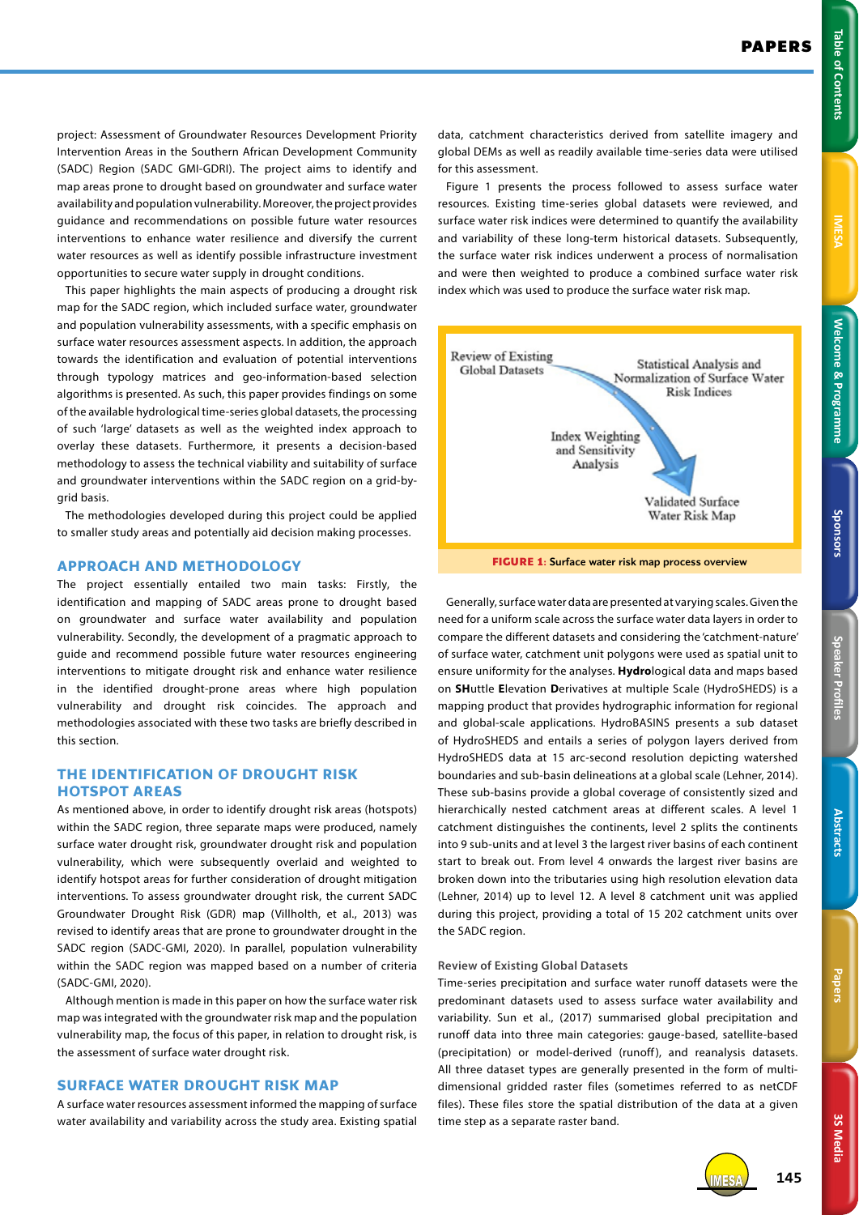**IMESA** 

**3S Media 3S Media**

project: Assessment of Groundwater Resources Development Priority Intervention Areas in the Southern African Development Community (SADC) Region (SADC GMI-GDRI). The project aims to identify and map areas prone to drought based on groundwater and surface water availability and population vulnerability. Moreover, the project provides guidance and recommendations on possible future water resources interventions to enhance water resilience and diversify the current water resources as well as identify possible infrastructure investment opportunities to secure water supply in drought conditions.

This paper highlights the main aspects of producing a drought risk map for the SADC region, which included surface water, groundwater and population vulnerability assessments, with a specific emphasis on surface water resources assessment aspects. In addition, the approach towards the identification and evaluation of potential interventions through typology matrices and geo-information-based selection algorithms is presented. As such, this paper provides findings on some of the available hydrological time-series global datasets, the processing of such 'large' datasets as well as the weighted index approach to overlay these datasets. Furthermore, it presents a decision-based methodology to assess the technical viability and suitability of surface and groundwater interventions within the SADC region on a grid-bygrid basis.

The methodologies developed during this project could be applied to smaller study areas and potentially aid decision making processes.

## **APPROACH AND METHODOLOGY**

The project essentially entailed two main tasks: Firstly, the identification and mapping of SADC areas prone to drought based on groundwater and surface water availability and population vulnerability. Secondly, the development of a pragmatic approach to guide and recommend possible future water resources engineering interventions to mitigate drought risk and enhance water resilience in the identified drought-prone areas where high population vulnerability and drought risk coincides. The approach and methodologies associated with these two tasks are briefly described in this section.

# **THE IDENTIFICATION OF DROUGHT RISK HOTSPOT AREAS**

As mentioned above, in order to identify drought risk areas (hotspots) within the SADC region, three separate maps were produced, namely surface water drought risk, groundwater drought risk and population vulnerability, which were subsequently overlaid and weighted to identify hotspot areas for further consideration of drought mitigation interventions. To assess groundwater drought risk, the current SADC Groundwater Drought Risk (GDR) map (Villholth, et al., 2013) was revised to identify areas that are prone to groundwater drought in the SADC region (SADC-GMI, 2020). In parallel, population vulnerability within the SADC region was mapped based on a number of criteria (SADC-GMI, 2020).

Although mention is made in this paper on how the surface water risk map was integrated with the groundwater risk map and the population vulnerability map, the focus of this paper, in relation to drought risk, is the assessment of surface water drought risk.

# **SURFACE WATER DROUGHT RISK MAP**

A surface water resources assessment informed the mapping of surface water availability and variability across the study area. Existing spatial

data, catchment characteristics derived from satellite imagery and global DEMs as well as readily available time-series data were utilised for this assessment.

Figure 1 presents the process followed to assess surface water resources. Existing time-series global datasets were reviewed, and surface water risk indices were determined to quantify the availability and variability of these long-term historical datasets. Subsequently, the surface water risk indices underwent a process of normalisation and were then weighted to produce a combined surface water risk index which was used to produce the surface water risk map.



**FIGURE 1:** Surface water risk map process overview

Generally, surface water data are presented at varying scales. Given the need for a uniform scale across the surface water data layers in order to compare the different datasets and considering the 'catchment-nature' of surface water, catchment unit polygons were used as spatial unit to ensure uniformity for the analyses. **Hydro**logical data and maps based on **SH**uttle **E**levation **D**erivatives at multiple Scale (HydroSHEDS) is a mapping product that provides hydrographic information for regional and global-scale applications. HydroBASINS presents a sub dataset of HydroSHEDS and entails a series of polygon layers derived from HydroSHEDS data at 15 arc-second resolution depicting watershed boundaries and sub-basin delineations at a global scale (Lehner, 2014). These sub-basins provide a global coverage of consistently sized and hierarchically nested catchment areas at different scales. A level 1 catchment distinguishes the continents, level 2 splits the continents into 9 sub-units and at level 3 the largest river basins of each continent start to break out. From level 4 onwards the largest river basins are broken down into the tributaries using high resolution elevation data (Lehner, 2014) up to level 12. A level 8 catchment unit was applied during this project, providing a total of 15 202 catchment units over the SADC region.

# **Review of Existing Global Datasets**

Time-series precipitation and surface water runoff datasets were the predominant datasets used to assess surface water availability and variability. Sun et al., (2017) summarised global precipitation and runoff data into three main categories: gauge-based, satellite-based (precipitation) or model-derived (runoff), and reanalysis datasets. All three dataset types are generally presented in the form of multidimensional gridded raster files (sometimes referred to as netCDF files). These files store the spatial distribution of the data at a given time step as a separate raster band.



IMESA **145**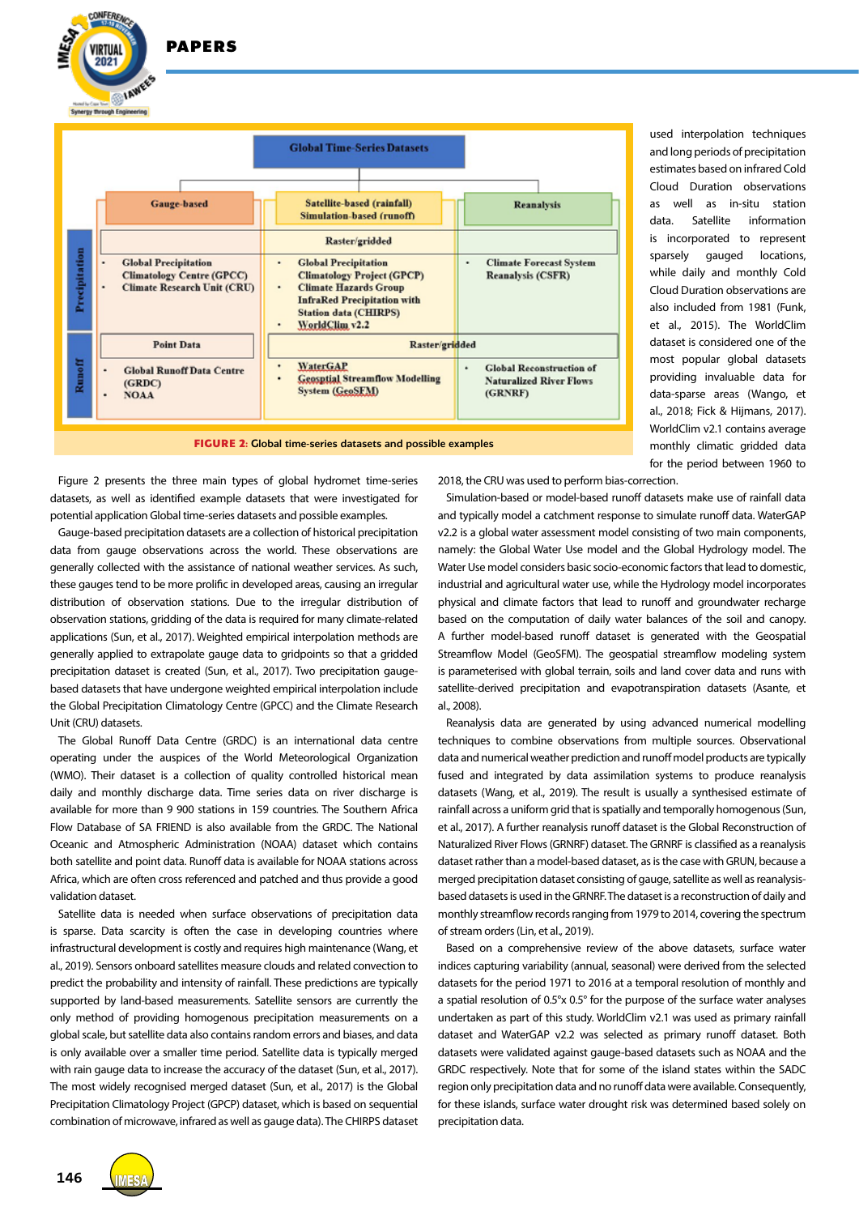**/IRTUAL** 2021 **IAWEES Syneroy through Engine** 

**CONFERENC** 



**FIGURE 2:** Global time-series datasets and possible examples

Figure 2 presents the three main types of global hydromet time-series datasets, as well as identified example datasets that were investigated for potential application Global time-series datasets and possible examples.

Gauge-based precipitation datasets are a collection of historical precipitation data from gauge observations across the world. These observations are generally collected with the assistance of national weather services. As such, these gauges tend to be more prolific in developed areas, causing an irregular distribution of observation stations. Due to the irregular distribution of observation stations, gridding of the data is required for many climate-related applications (Sun, et al., 2017). Weighted empirical interpolation methods are generally applied to extrapolate gauge data to gridpoints so that a gridded precipitation dataset is created (Sun, et al., 2017). Two precipitation gaugebased datasets that have undergone weighted empirical interpolation include the Global Precipitation Climatology Centre (GPCC) and the Climate Research Unit (CRU) datasets.

The Global Runoff Data Centre (GRDC) is an international data centre operating under the auspices of the World Meteorological Organization (WMO). Their dataset is a collection of quality controlled historical mean daily and monthly discharge data. Time series data on river discharge is available for more than 9 900 stations in 159 countries. The Southern Africa Flow Database of SA FRIEND is also available from the GRDC. The National Oceanic and Atmospheric Administration (NOAA) dataset which contains both satellite and point data. Runoff data is available for NOAA stations across Africa, which are often cross referenced and patched and thus provide a good validation dataset.

Satellite data is needed when surface observations of precipitation data is sparse. Data scarcity is often the case in developing countries where infrastructural development is costly and requires high maintenance (Wang, et al., 2019). Sensors onboard satellites measure clouds and related convection to predict the probability and intensity of rainfall. These predictions are typically supported by land-based measurements. Satellite sensors are currently the only method of providing homogenous precipitation measurements on a global scale, but satellite data also contains random errors and biases, and data is only available over a smaller time period. Satellite data is typically merged with rain gauge data to increase the accuracy of the dataset (Sun, et al., 2017). The most widely recognised merged dataset (Sun, et al., 2017) is the Global Precipitation Climatology Project (GPCP) dataset, which is based on sequential combination of microwave, infrared as well as gauge data). The CHIRPS dataset 2018, the CRU was used to perform bias-correction.

Simulation-based or model-based runoff datasets make use of rainfall data and typically model a catchment response to simulate runoff data. WaterGAP v2.2 is a global water assessment model consisting of two main components, namely: the Global Water Use model and the Global Hydrology model. The Water Use model considers basic socio-economic factors that lead to domestic, industrial and agricultural water use, while the Hydrology model incorporates physical and climate factors that lead to runoff and groundwater recharge based on the computation of daily water balances of the soil and canopy. A further model-based runoff dataset is generated with the Geospatial Streamflow Model (GeoSFM). The geospatial streamflow modeling system is parameterised with global terrain, soils and land cover data and runs with satellite-derived precipitation and evapotranspiration datasets (Asante, et al., 2008).

used interpolation techniques and long periods of precipitation estimates based on infrared Cold Cloud Duration observations as well as in-situ station data. Satellite information is incorporated to represent sparsely gauged locations, while daily and monthly Cold Cloud Duration observations are also included from 1981 (Funk, et al., 2015). The WorldClim dataset is considered one of the most popular global datasets providing invaluable data for data-sparse areas (Wango, et al., 2018; Fick & Hijmans, 2017). WorldClim v2.1 contains average monthly climatic gridded data for the period between 1960 to

Reanalysis data are generated by using advanced numerical modelling techniques to combine observations from multiple sources. Observational data and numerical weather prediction and runoff model products are typically fused and integrated by data assimilation systems to produce reanalysis datasets (Wang, et al., 2019). The result is usually a synthesised estimate of rainfall across a uniform grid that is spatially and temporally homogenous (Sun, et al., 2017). A further reanalysis runoff dataset is the Global Reconstruction of Naturalized River Flows (GRNRF) dataset. The GRNRF is classified as a reanalysis dataset rather than a model-based dataset, as is the case with GRUN, because a merged precipitation dataset consisting of gauge, satellite as well as reanalysisbased datasets is used in the GRNRF. The dataset is a reconstruction of daily and monthly streamflow records ranging from 1979 to 2014, covering the spectrum of stream orders (Lin, et al., 2019).

Based on a comprehensive review of the above datasets, surface water indices capturing variability (annual, seasonal) were derived from the selected datasets for the period 1971 to 2016 at a temporal resolution of monthly and a spatial resolution of 0.5°x 0.5° for the purpose of the surface water analyses undertaken as part of this study. WorldClim v2.1 was used as primary rainfall dataset and WaterGAP v2.2 was selected as primary runoff dataset. Both datasets were validated against gauge-based datasets such as NOAA and the GRDC respectively. Note that for some of the island states within the SADC region only precipitation data and no runoff data were available. Consequently, for these islands, surface water drought risk was determined based solely on precipitation data.

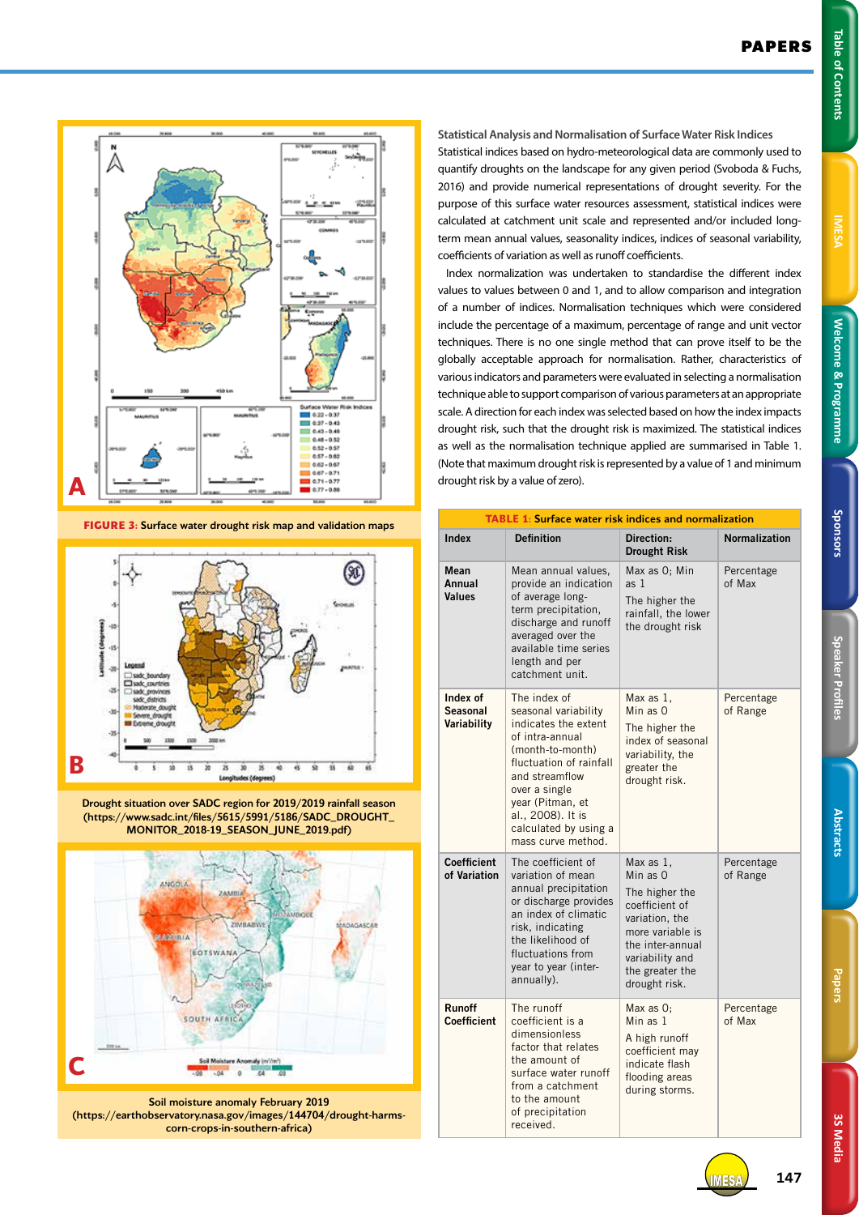Papers



**Statistical Analysis and Normalisation of Surface Water Risk Indices** Statistical indices based on hydro-meteorological data are commonly used to quantify droughts on the landscape for any given period (Svoboda & Fuchs, 2016) and provide numerical representations of drought severity. For the purpose of this surface water resources assessment, statistical indices were calculated at catchment unit scale and represented and/or included longterm mean annual values, seasonality indices, indices of seasonal variability, coefficients of variation as well as runoff coefficients.

Index normalization was undertaken to standardise the different index values to values between 0 and 1, and to allow comparison and integration of a number of indices. Normalisation techniques which were considered include the percentage of a maximum, percentage of range and unit vector techniques. There is no one single method that can prove itself to be the globally acceptable approach for normalisation. Rather, characteristics of various indicators and parameters were evaluated in selecting a normalisation technique able to support comparison of various parameters at an appropriate scale. A direction for each index was selected based on how the index impacts drought risk, such that the drought risk is maximized. The statistical indices as well as the normalisation technique applied are summarised in Table 1. (Note that maximum drought risk is represented by a value of 1 and minimum drought risk by a value of zero).

| <b>TABLE 1: Surface water risk indices and normalization</b> |                                                                                                                                                                                                                                                           |                                                                                                                                                                            |                        |  |  |
|--------------------------------------------------------------|-----------------------------------------------------------------------------------------------------------------------------------------------------------------------------------------------------------------------------------------------------------|----------------------------------------------------------------------------------------------------------------------------------------------------------------------------|------------------------|--|--|
| <b>Index</b>                                                 | <b>Definition</b>                                                                                                                                                                                                                                         | Direction:<br><b>Drought Risk</b>                                                                                                                                          | <b>Normalization</b>   |  |  |
| Mean<br>Annual<br>Values                                     | Mean annual values,<br>provide an indication<br>of average long-<br>term precipitation,<br>discharge and runoff<br>averaged over the<br>available time series<br>length and per<br>catchment unit.                                                        | Max as O; Min<br>as 1<br>The higher the<br>rainfall, the lower<br>the drought risk                                                                                         | Percentage<br>of Max   |  |  |
| Index of<br><b>Seasonal</b><br>Variability                   | The index of<br>seasonal variability<br>indicates the extent<br>of intra-annual<br>(month-to-month)<br>fluctuation of rainfall<br>and streamflow<br>over a single<br>year (Pitman, et<br>al., 2008). It is<br>calculated by using a<br>mass curve method. | Max as 1,<br>Min as O<br>The higher the<br>index of seasonal<br>variability, the<br>greater the<br>drought risk.                                                           | Percentage<br>of Range |  |  |
| <b>Coefficient</b><br>of Variation                           | The coefficient of<br>variation of mean<br>annual precipitation<br>or discharge provides<br>an index of climatic<br>risk, indicating<br>the likelihood of<br>fluctuations from<br>year to year (inter-<br>annually).                                      | Max as 1,<br>Min as 0<br>The higher the<br>coefficient of<br>variation, the<br>more variable is<br>the inter-annual<br>variability and<br>the greater the<br>drought risk. | Percentage<br>of Range |  |  |
| <b>Runoff</b><br>Coefficient                                 | The runoff<br>coefficient is a<br>dimensionless<br>factor that relates<br>the amount of<br>surface water runoff<br>from a catchment<br>to the amount<br>of precipitation<br>received.                                                                     | Max as $0$ :<br>Min as 1<br>A high runoff<br>coefficient may<br>indicate flash<br>flooding areas<br>during storms.                                                         | Percentage<br>of Max   |  |  |



**FIGURE 3:** Surface water drought risk map and validation maps



Drought situation over SADC region for 2019/2019 rainfall season (https://www.sadc.int/files/5615/5991/5186/SADC\_DROUGHT\_ MONITOR\_2018-19\_SEASON\_JUNE\_2019.pdf)



Soil moisture anomaly February 2019 (https://earthobservatory.nasa.gov/images/144704/drought-harmscorn-crops-in-southern-africa)

IMESA **147**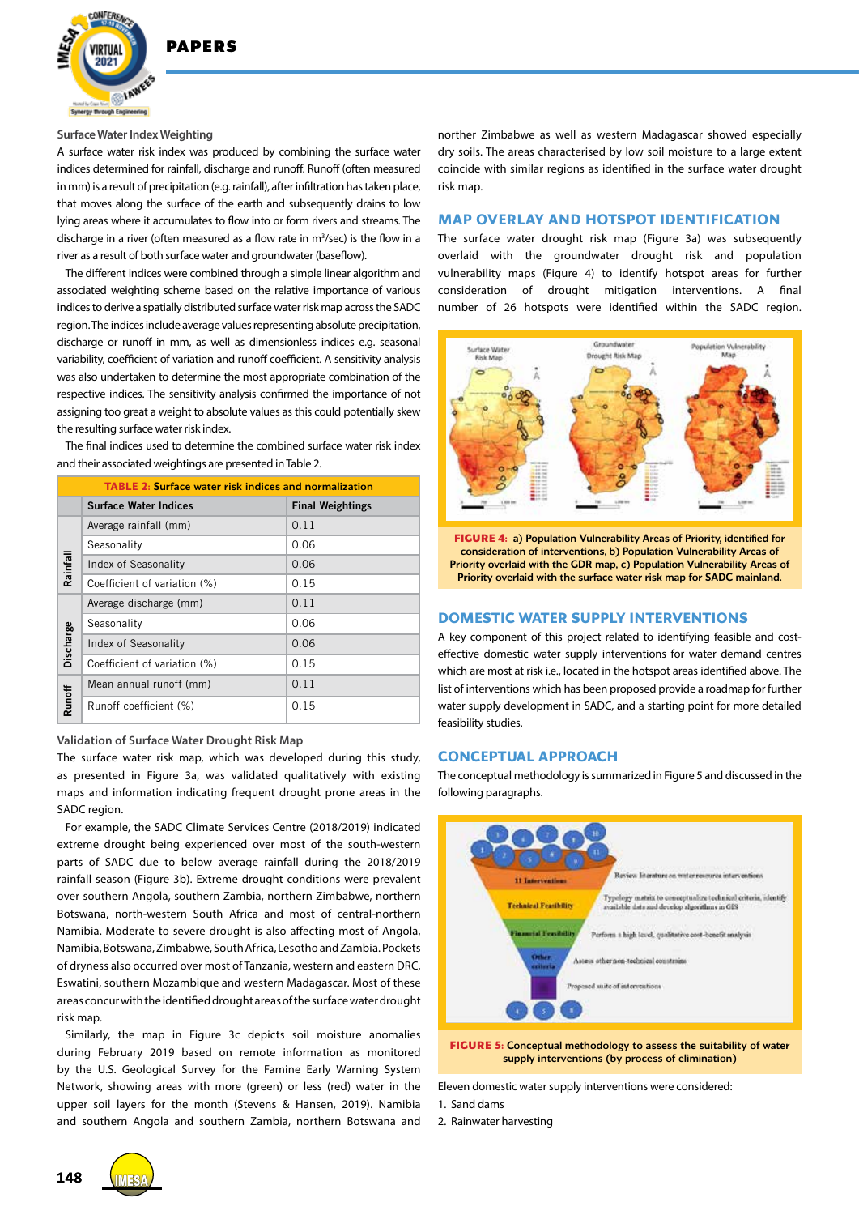

#### **Surface Water Index Weighting**

A surface water risk index was produced by combining the surface water indices determined for rainfall, discharge and runoff. Runoff (often measured in mm) is a result of precipitation (e.g. rainfall), after infiltration has taken place, that moves along the surface of the earth and subsequently drains to low lying areas where it accumulates to flow into or form rivers and streams. The discharge in a river (often measured as a flow rate in  $m^3$ /sec) is the flow in a river as a result of both surface water and groundwater (baseflow).

The different indices were combined through a simple linear algorithm and associated weighting scheme based on the relative importance of various indices to derive a spatially distributed surface water risk map across the SADC region. The indices include average values representing absolute precipitation, discharge or runoff in mm, as well as dimensionless indices e.g. seasonal variability, coefficient of variation and runoff coefficient. A sensitivity analysis was also undertaken to determine the most appropriate combination of the respective indices. The sensitivity analysis confirmed the importance of not assigning too great a weight to absolute values as this could potentially skew the resulting surface water risk index.

The final indices used to determine the combined surface water risk index and their associated weightings are presented in Table 2.

| <b>TABLE 2: Surface water risk indices and normalization</b> |                              |                         |  |  |
|--------------------------------------------------------------|------------------------------|-------------------------|--|--|
|                                                              | <b>Surface Water Indices</b> | <b>Final Weightings</b> |  |  |
| Rainfall                                                     | Average rainfall (mm)        | 0.11                    |  |  |
|                                                              | Seasonality                  | 0.06                    |  |  |
|                                                              | Index of Seasonality         | 0.06                    |  |  |
|                                                              | Coefficient of variation (%) | 0.15                    |  |  |
| Discharge                                                    | Average discharge (mm)       | 0.11                    |  |  |
|                                                              | Seasonality                  | 0.06                    |  |  |
|                                                              | Index of Seasonality         | 0.06                    |  |  |
|                                                              | Coefficient of variation (%) | 0.15                    |  |  |
| <b>Runoff</b>                                                | Mean annual runoff (mm)      | 0.11                    |  |  |
|                                                              | Runoff coefficient (%)       | 0.15                    |  |  |

**Validation of Surface Water Drought Risk Map**

The surface water risk map, which was developed during this study, as presented in Figure 3a, was validated qualitatively with existing maps and information indicating frequent drought prone areas in the SADC region.

For example, the SADC Climate Services Centre (2018/2019) indicated extreme drought being experienced over most of the south-western parts of SADC due to below average rainfall during the 2018/2019 rainfall season (Figure 3b). Extreme drought conditions were prevalent over southern Angola, southern Zambia, northern Zimbabwe, northern Botswana, north-western South Africa and most of central-northern Namibia. Moderate to severe drought is also affecting most of Angola, Namibia, Botswana, Zimbabwe, South Africa, Lesotho and Zambia. Pockets of dryness also occurred over most of Tanzania, western and eastern DRC, Eswatini, southern Mozambique and western Madagascar. Most of these areas concur with the identified drought areas of the surface water drought risk map.

Similarly, the map in Figure 3c depicts soil moisture anomalies during February 2019 based on remote information as monitored by the U.S. Geological Survey for the Famine Early Warning System Network, showing areas with more (green) or less (red) water in the upper soil layers for the month (Stevens & Hansen, 2019). Namibia and southern Angola and southern Zambia, northern Botswana and

norther Zimbabwe as well as western Madagascar showed especially dry soils. The areas characterised by low soil moisture to a large extent coincide with similar regions as identified in the surface water drought risk map.

## **MAP OVERLAY AND HOTSPOT IDENTIFICATION**

The surface water drought risk map (Figure 3a) was subsequently overlaid with the groundwater drought risk and population vulnerability maps (Figure 4) to identify hotspot areas for further consideration of drought mitigation interventions. A final number of 26 hotspots were identified within the SADC region.



**FIGURE 4:** a) Population Vulnerability Areas of Priority, identified for consideration of interventions, b) Population Vulnerability Areas of Priority overlaid with the GDR map, c) Population Vulnerability Areas of Priority overlaid with the surface water risk map for SADC mainland.

### **DOMESTIC WATER SUPPLY INTERVENTIONS**

A key component of this project related to identifying feasible and costeffective domestic water supply interventions for water demand centres which are most at risk i.e., located in the hotspot areas identified above. The list of interventions which has been proposed provide a roadmap for further water supply development in SADC, and a starting point for more detailed feasibility studies.

## **CONCEPTUAL APPROACH**

The conceptual methodology is summarized in Figure 5 and discussed in the following paragraphs.



**FIGURE 5:** Conceptual methodology to assess the suitability of water supply interventions (by process of elimination)

Eleven domestic water supply interventions were considered:

1. Sand dams

2. Rainwater harvesting

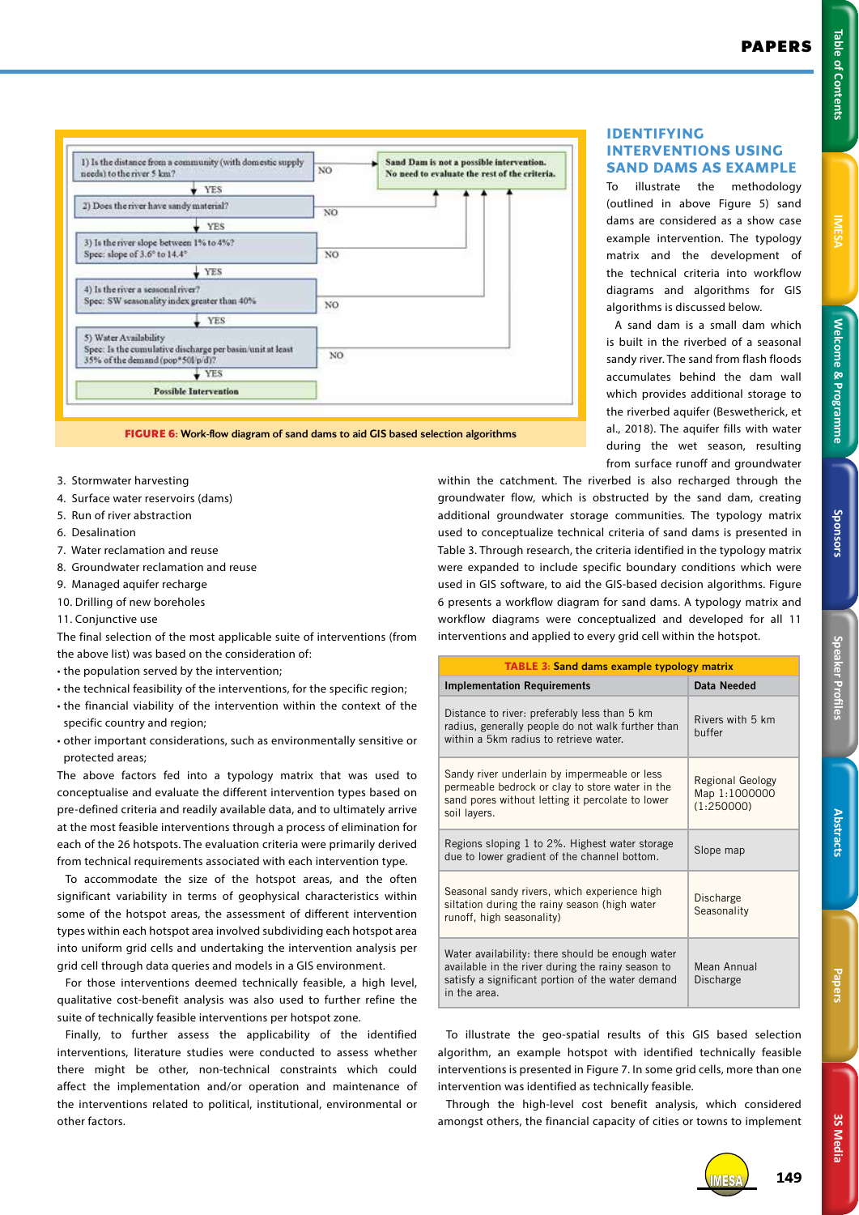

**FIGURE 6:** Work-flow diagram of sand dams to aid GIS based selection algorithms

- 3. Stormwater harvesting
- 4. Surface water reservoirs (dams)
- 5. Run of river abstraction
- 6. Desalination
- 7. Water reclamation and reuse
- 8. Groundwater reclamation and reuse
- 9. Managed aquifer recharge
- 10. Drilling of new boreholes
- 11. Conjunctive use

The final selection of the most applicable suite of interventions (from the above list) was based on the consideration of:

- the population served by the intervention;
- the technical feasibility of the interventions, for the specific region;
- the financial viability of the intervention within the context of the specific country and region;
- other important considerations, such as environmentally sensitive or protected areas;

The above factors fed into a typology matrix that was used to conceptualise and evaluate the different intervention types based on pre-defined criteria and readily available data, and to ultimately arrive at the most feasible interventions through a process of elimination for each of the 26 hotspots. The evaluation criteria were primarily derived from technical requirements associated with each intervention type.

To accommodate the size of the hotspot areas, and the often significant variability in terms of geophysical characteristics within some of the hotspot areas, the assessment of different intervention types within each hotspot area involved subdividing each hotspot area into uniform grid cells and undertaking the intervention analysis per grid cell through data queries and models in a GIS environment.

For those interventions deemed technically feasible, a high level, qualitative cost-benefit analysis was also used to further refine the suite of technically feasible interventions per hotspot zone.

Finally, to further assess the applicability of the identified interventions, literature studies were conducted to assess whether there might be other, non-technical constraints which could affect the implementation and/or operation and maintenance of the interventions related to political, institutional, environmental or other factors.

**IDENTIFYING INTERVENTIONS USING SAND DAMS AS EXAMPLE**

To illustrate the methodology (outlined in above Figure 5) sand dams are considered as a show case example intervention. The typology matrix and the development of the technical criteria into workflow diagrams and algorithms for GIS algorithms is discussed below.

A sand dam is a small dam which is built in the riverbed of a seasonal sandy river. The sand from flash floods accumulates behind the dam wall which provides additional storage to the riverbed aquifer (Beswetherick, et al., 2018). The aquifer fills with water during the wet season, resulting from surface runoff and groundwater

within the catchment. The riverbed is also recharged through the groundwater flow, which is obstructed by the sand dam, creating additional groundwater storage communities. The typology matrix used to conceptualize technical criteria of sand dams is presented in Table 3. Through research, the criteria identified in the typology matrix were expanded to include specific boundary conditions which were used in GIS software, to aid the GIS-based decision algorithms. Figure 6 presents a workflow diagram for sand dams. A typology matrix and workflow diagrams were conceptualized and developed for all 11 interventions and applied to every grid cell within the hotspot.

| <b>TABLE 3: Sand dams example typology matrix</b>                                                                                                                          |                                                 |  |  |
|----------------------------------------------------------------------------------------------------------------------------------------------------------------------------|-------------------------------------------------|--|--|
| <b>Implementation Requirements</b>                                                                                                                                         | Data Needed                                     |  |  |
| Distance to river: preferably less than 5 km<br>radius, generally people do not walk further than<br>within a 5km radius to retrieve water.                                | Rivers with 5 km<br>buffer                      |  |  |
| Sandy river underlain by impermeable or less<br>permeable bedrock or clay to store water in the<br>sand pores without letting it percolate to lower<br>soil layers.        | Regional Geology<br>Map 1:1000000<br>(1:250000) |  |  |
| Regions sloping 1 to 2%. Highest water storage<br>due to lower gradient of the channel bottom.                                                                             | Slope map                                       |  |  |
| Seasonal sandy rivers, which experience high<br>siltation during the rainy season (high water<br>runoff, high seasonality)                                                 | Discharge<br>Seasonality                        |  |  |
| Water availability: there should be enough water<br>available in the river during the rainy season to<br>satisfy a significant portion of the water demand<br>in the area. | Mean Annual<br>Discharge                        |  |  |

To illustrate the geo-spatial results of this GIS based selection algorithm, an example hotspot with identified technically feasible interventions is presented in Figure 7. In some grid cells, more than one intervention was identified as technically feasible.

Through the high-level cost benefit analysis, which considered amongst others, the financial capacity of cities or towns to implement



IMESA MESA**149**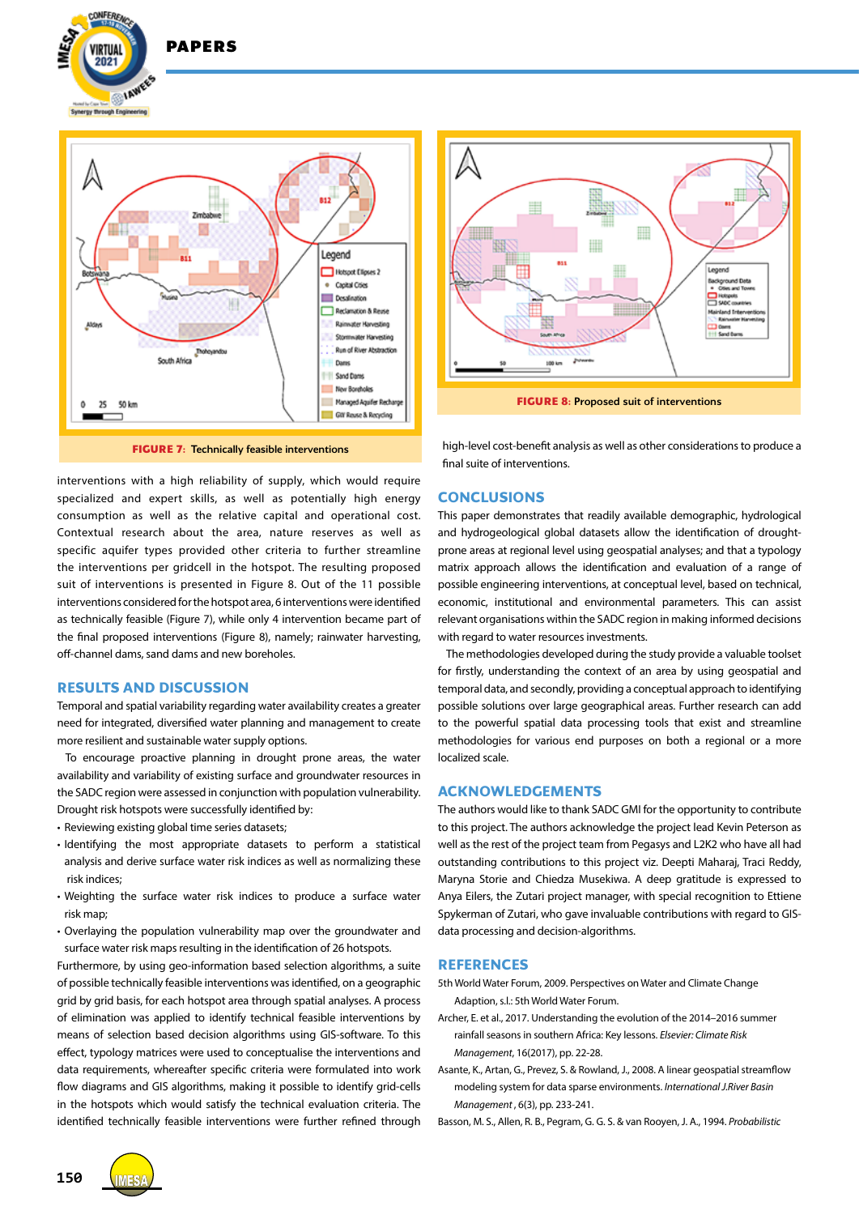



**DADEDS** 

**FIGURE 7:** Technically feasible interventions

Gill Rouse & Recycling

interventions with a high reliability of supply, which would require specialized and expert skills, as well as potentially high energy consumption as well as the relative capital and operational cost. Contextual research about the area, nature reserves as well as specific aquifer types provided other criteria to further streamline the interventions per gridcell in the hotspot. The resulting proposed suit of interventions is presented in Figure 8. Out of the 11 possible interventions considered for the hotspot area, 6 interventions were identified as technically feasible (Figure 7), while only 4 intervention became part of the final proposed interventions (Figure 8), namely; rainwater harvesting, off-channel dams, sand dams and new boreholes.

# **RESULTS AND DISCUSSION**

Temporal and spatial variability regarding water availability creates a greater need for integrated, diversified water planning and management to create more resilient and sustainable water supply options.

To encourage proactive planning in drought prone areas, the water availability and variability of existing surface and groundwater resources in the SADC region were assessed in conjunction with population vulnerability. Drought risk hotspots were successfully identified by:

- Reviewing existing global time series datasets;
- Identifying the most appropriate datasets to perform a statistical analysis and derive surface water risk indices as well as normalizing these risk indices;
- Weighting the surface water risk indices to produce a surface water risk map;
- Overlaying the population vulnerability map over the groundwater and surface water risk maps resulting in the identification of 26 hotspots.

Furthermore, by using geo-information based selection algorithms, a suite of possible technically feasible interventions was identified, on a geographic grid by grid basis, for each hotspot area through spatial analyses. A process of elimination was applied to identify technical feasible interventions by means of selection based decision algorithms using GIS-software. To this effect, typology matrices were used to conceptualise the interventions and data requirements, whereafter specific criteria were formulated into work flow diagrams and GIS algorithms, making it possible to identify grid-cells in the hotspots which would satisfy the technical evaluation criteria. The identified technically feasible interventions were further refined through



**FIGURE 8: Proposed suit of interventions** 

high-level cost-benefit analysis as well as other considerations to produce a final suite of interventions.

## **CONCLUSIONS**

This paper demonstrates that readily available demographic, hydrological and hydrogeological global datasets allow the identification of droughtprone areas at regional level using geospatial analyses; and that a typology matrix approach allows the identification and evaluation of a range of possible engineering interventions, at conceptual level, based on technical, economic, institutional and environmental parameters. This can assist relevant organisations within the SADC region in making informed decisions with regard to water resources investments.

The methodologies developed during the study provide a valuable toolset for firstly, understanding the context of an area by using geospatial and temporal data, and secondly, providing a conceptual approach to identifying possible solutions over large geographical areas. Further research can add to the powerful spatial data processing tools that exist and streamline methodologies for various end purposes on both a regional or a more localized scale.

# **ACKNOWLEDGEMENTS**

The authors would like to thank SADC GMI for the opportunity to contribute to this project. The authors acknowledge the project lead Kevin Peterson as well as the rest of the project team from Pegasys and L2K2 who have all had outstanding contributions to this project viz. Deepti Maharaj, Traci Reddy, Maryna Storie and Chiedza Musekiwa. A deep gratitude is expressed to Anya Eilers, the Zutari project manager, with special recognition to Ettiene Spykerman of Zutari, who gave invaluable contributions with regard to GISdata processing and decision-algorithms.

## **REFERENCES**

- 5th World Water Forum, 2009. Perspectives on Water and Climate Change Adaption, s.l.: 5th World Water Forum.
- Archer, E. et al., 2017. Understanding the evolution of the 2014–2016 summer rainfall seasons in southern Africa: Key lessons. *Elsevier: Climate Risk Management*, 16(2017), pp. 22-28.
- Asante, K., Artan, G., Prevez, S. & Rowland, J., 2008. A linear geospatial streamflow modeling system for data sparse environments. *International J.River Basin Management* , 6(3), pp. 233-241.

Basson, M. S., Allen, R. B., Pegram, G. G. S. & van Rooyen, J. A., 1994. *Probabilistic* 



**150**